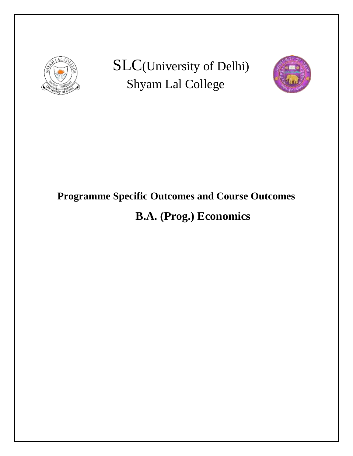

SLC(University of Delhi) Shyam Lal College



# **Programme Specific Outcomes and Course Outcomes**

# **B.A. (Prog.) Economics**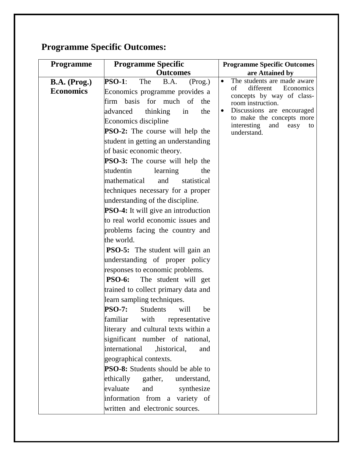# **Programme Specific Outcomes:**

| <b>Programme</b>    | <b>Programme Specific</b>                      | <b>Programme Specific Outcomes</b>                            |
|---------------------|------------------------------------------------|---------------------------------------------------------------|
|                     | <b>Outcomes</b>                                | are Attained by                                               |
| <b>B.A.</b> (Prog.) | $PSO-1$ :<br>The<br>B.A.<br>(Prog.)            | The students are made aware                                   |
| <b>Economics</b>    | Economics programme provides a                 | of<br>different<br>Economics<br>concepts by way of class-     |
|                     | basis<br>for<br>much of<br>firm<br>the         | room instruction.                                             |
|                     | thinking<br>advanced<br>the<br>in              | Discussions are encouraged                                    |
|                     | Economics discipline                           | to make the concepts more<br>interesting<br>and<br>easy<br>to |
|                     | <b>PSO-2:</b> The course will help the         | understand.                                                   |
|                     | student in getting an understanding            |                                                               |
|                     | of basic economic theory.                      |                                                               |
|                     | <b>PSO-3:</b> The course will help the         |                                                               |
|                     | studentin<br>learning<br>the                   |                                                               |
|                     | mathematical<br>and<br>statistical             |                                                               |
|                     | techniques necessary for a proper              |                                                               |
|                     | understanding of the discipline.               |                                                               |
|                     | <b>PSO-4:</b> It will give an introduction     |                                                               |
|                     | to real world economic issues and              |                                                               |
|                     | problems facing the country and                |                                                               |
|                     | the world.                                     |                                                               |
|                     | <b>PSO-5:</b> The student will gain an         |                                                               |
|                     | understanding of proper policy                 |                                                               |
|                     | responses to economic problems.                |                                                               |
|                     | <b>PSO-6:</b><br>The student will get          |                                                               |
|                     | trained to collect primary data and            |                                                               |
|                     | learn sampling techniques.                     |                                                               |
|                     | <b>PSO-7:</b><br><b>Students</b><br>will<br>be |                                                               |
|                     | familiar<br>with<br>representative             |                                                               |
|                     | literary and cultural texts within a           |                                                               |
|                     | significant number of national,                |                                                               |
|                     | international<br>, historical,<br>and          |                                                               |
|                     | geographical contexts.                         |                                                               |
|                     | PSO-8: Students should be able to              |                                                               |
|                     | ethically gather, understand,                  |                                                               |
|                     | evaluate<br>and<br>synthesize                  |                                                               |
|                     | information from a variety of                  |                                                               |
|                     | written and electronic sources.                |                                                               |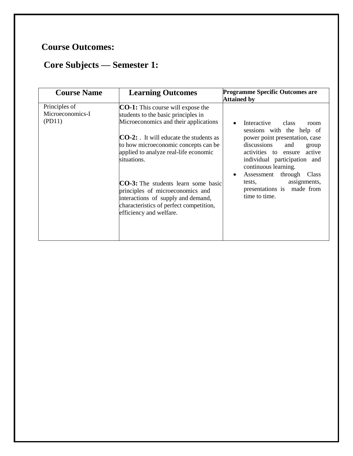### **Course Outcomes:**

# **Core Subjects — Semester 1:**

| <b>Course Name</b>                          | <b>Learning Outcomes</b>                                                                                                                                                                                                                                                                                                                                                                                                                                           | <b>Programme Specific Outcomes are</b><br><b>Attained by</b>                                                                                                                                                                                                                                                                        |
|---------------------------------------------|--------------------------------------------------------------------------------------------------------------------------------------------------------------------------------------------------------------------------------------------------------------------------------------------------------------------------------------------------------------------------------------------------------------------------------------------------------------------|-------------------------------------------------------------------------------------------------------------------------------------------------------------------------------------------------------------------------------------------------------------------------------------------------------------------------------------|
| Principles of<br>Microeconomics-I<br>(PD11) | <b>CO-1:</b> This course will expose the<br>students to the basic principles in<br>Microeconomics and their applications<br>$CO-2$ : It will educate the students as<br>to how microeconomic concepts can be<br>applied to analyze real-life economic<br>situations.<br><b>CO-3:</b> The students learn some basic<br>principles of microeconomics and<br>interactions of supply and demand,<br>characteristics of perfect competition,<br>efficiency and welfare. | Interactive<br>class<br>room<br>sessions with the help of<br>power point presentation, case<br>discussions<br>and<br>group<br>activities to ensure active<br>individual participation and<br>continuous learning.<br>Assessment through Class<br>$\bullet$<br>assignments,<br>tests,<br>presentations is made from<br>time to time. |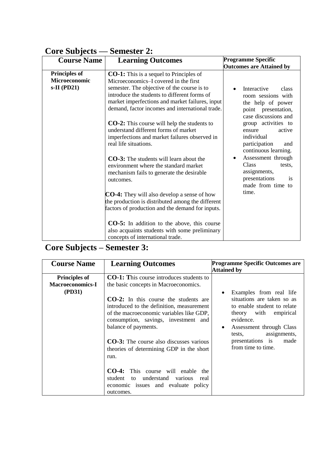| Core navjecto                  | DUMUJUL 2.                                                                                                                                                           |                                                                                                          |
|--------------------------------|----------------------------------------------------------------------------------------------------------------------------------------------------------------------|----------------------------------------------------------------------------------------------------------|
| <b>Course Name</b>             | <b>Learning Outcomes</b>                                                                                                                                             | <b>Programme Specific</b>                                                                                |
|                                |                                                                                                                                                                      | <b>Outcomes are Attained by</b>                                                                          |
| <b>Principles of</b>           | <b>CO-1:</b> This is a sequel to Principles of                                                                                                                       |                                                                                                          |
| Microeconomic<br>$s-II (PD21)$ | Microeconomics-I covered in the first<br>semester. The objective of the course is to<br>introduce the students to different forms of                                 | Interactive<br>class<br>$\bullet$<br>room sessions with                                                  |
|                                | market imperfections and market failures, input<br>demand, factor incomes and international trade.                                                                   | the help of power<br>point presentation,<br>case discussions and                                         |
|                                | <b>CO-2:</b> This course will help the students to<br>understand different forms of market<br>imperfections and market failures observed in<br>real life situations. | group activities to<br>active<br>ensure<br>individual<br>participation<br>and<br>continuous learning.    |
|                                | <b>CO-3:</b> The students will learn about the<br>environment where the standard market<br>mechanism fails to generate the desirable<br>outcomes.                    | Assessment through<br>Class<br>tests,<br>assignments,<br>presentations<br><i>is</i><br>made from time to |
|                                | <b>CO-4:</b> They will also develop a sense of how<br>the production is distributed among the different<br>factors of production and the demand for inputs.          | time.                                                                                                    |
|                                | <b>CO-5:</b> In addition to the above, this course<br>also acquaints students with some preliminary<br>concepts of international trade.                              |                                                                                                          |

#### **Core Subjects — Semester 2:**

## **Core Subjects – Semester 3:**

| <b>Course Name</b>   | <b>Learning Outcomes</b>                                                                                                                                                                              | <b>Programme Specific Outcomes are</b>                                                                                                                      |
|----------------------|-------------------------------------------------------------------------------------------------------------------------------------------------------------------------------------------------------|-------------------------------------------------------------------------------------------------------------------------------------------------------------|
|                      |                                                                                                                                                                                                       | <b>Attained by</b>                                                                                                                                          |
| <b>Principles of</b> | <b>CO-1:</b> This course introduces students to                                                                                                                                                       |                                                                                                                                                             |
| Macroeconomics-I     | the basic concepts in Macroeconomics.                                                                                                                                                                 |                                                                                                                                                             |
| (PD31)               | <b>CO-2:</b> In this course the students are<br>introduced to the definition, measurement<br>of the macroeconomic variables like GDP,<br>consumption, savings, investment and<br>balance of payments. | Examples from real life<br>٠<br>situations are taken so as<br>to enable student to relate<br>theory with empirical<br>evidence.<br>Assessment through Class |
|                      | <b>CO-3:</b> The course also discusses various<br>theories of determining GDP in the short<br>run.                                                                                                    | assignments,<br>tests,<br>presentations is<br>made<br>from time to time.                                                                                    |
|                      | <b>CO-4:</b> This course will enable the<br>student to understand various real<br>economic issues and evaluate policy<br>outcomes.                                                                    |                                                                                                                                                             |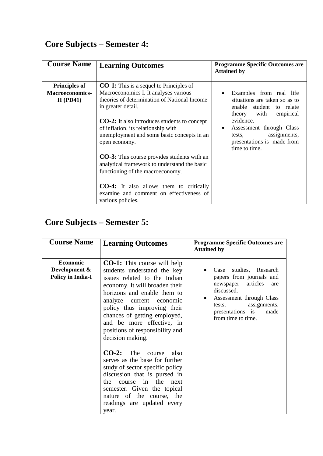# **Core Subjects – Semester 4:**

| <b>Course Name</b>                                            | <b>Learning Outcomes</b>                                                                                                                                                                                                                                                                                                                                                                                                                                                                                                                                                               | <b>Programme Specific Outcomes are</b><br><b>Attained by</b>                                                                                                                                                                                              |
|---------------------------------------------------------------|----------------------------------------------------------------------------------------------------------------------------------------------------------------------------------------------------------------------------------------------------------------------------------------------------------------------------------------------------------------------------------------------------------------------------------------------------------------------------------------------------------------------------------------------------------------------------------------|-----------------------------------------------------------------------------------------------------------------------------------------------------------------------------------------------------------------------------------------------------------|
| <b>Principles of</b><br><b>Macroeconomics-</b><br>$II$ (PD41) | <b>CO-1:</b> This is a sequel to Principles of<br>Macroeconomics I. It analyses various<br>theories of determination of National Income<br>in greater detail.<br><b>CO-2:</b> It also introduces students to concept<br>of inflation, its relationship with<br>unemployment and some basic concepts in an<br>open economy.<br><b>CO-3:</b> This course provides students with an<br>analytical framework to understand the basic<br>functioning of the macroeconomy.<br><b>CO-4:</b> It also allows them to critically<br>examine and comment on effectiveness of<br>various policies. | Examples from real life<br>$\bullet$<br>situations are taken so as to<br>enable student to relate<br>theory with empirical<br>evidence.<br>Assessment through Class<br>$\bullet$<br>assignments,<br>tests.<br>presentations is made from<br>time to time. |

# **Core Subjects – Semester 5:**

| <b>Course Name</b>                                    | <b>Learning Outcomes</b>                                                                                                                                                                                                                                                                                                                                                                                                                                                                                                                                                                                                    | <b>Programme Specific Outcomes are</b><br><b>Attained by</b>                                                                                                                                             |
|-------------------------------------------------------|-----------------------------------------------------------------------------------------------------------------------------------------------------------------------------------------------------------------------------------------------------------------------------------------------------------------------------------------------------------------------------------------------------------------------------------------------------------------------------------------------------------------------------------------------------------------------------------------------------------------------------|----------------------------------------------------------------------------------------------------------------------------------------------------------------------------------------------------------|
| Economic<br>Development &<br><b>Policy in India-I</b> | <b>CO-1:</b> This course will help<br>students understand the key<br>issues related to the Indian<br>economy. It will broaden their<br>horizons and enable them to<br>analyze current economic<br>policy thus improving their<br>chances of getting employed,<br>and be more effective, in<br>positions of responsibility and<br>decision making.<br>$CO-2$ :<br>The<br>also<br>course<br>serves as the base for further<br>study of sector specific policy<br>discussion that is pursed in<br>the<br>the<br>course<br>in<br>next<br>semester. Given the topical<br>nature of the course, the<br>readings are updated every | studies, Research<br>Case<br>papers from journals and<br>newspaper articles<br>are<br>discussed.<br>Assessment through Class<br>assignments,<br>tests,<br>presentations is<br>made<br>from time to time. |
|                                                       | year.                                                                                                                                                                                                                                                                                                                                                                                                                                                                                                                                                                                                                       |                                                                                                                                                                                                          |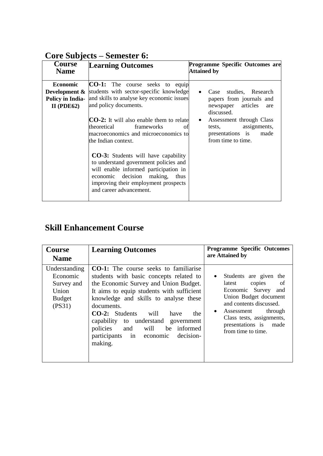| <b>Course</b><br><b>Name</b>                                                 | <b>Learning Outcomes</b>                                                                                                                                                                                                                                                                                                                                                                                                                                                                                                                          | <b>Programme Specific Outcomes are</b><br><b>Attained by</b>                                                                                                                                          |
|------------------------------------------------------------------------------|---------------------------------------------------------------------------------------------------------------------------------------------------------------------------------------------------------------------------------------------------------------------------------------------------------------------------------------------------------------------------------------------------------------------------------------------------------------------------------------------------------------------------------------------------|-------------------------------------------------------------------------------------------------------------------------------------------------------------------------------------------------------|
| <b>Economic</b><br>Development $\&$<br><b>Policy in India-</b><br>II (PDE62) | <b>CO-1:</b> The course seeks to equip<br>students with sector-specific knowledge<br>and skills to analyse key economic issues<br>and policy documents.<br><b>CO-2:</b> It will also enable them to relate<br>theoretical frameworks<br>οt<br>macroeconomics and microeconomics to<br>the Indian context.<br><b>CO-3:</b> Students will have capability<br>to understand government policies and<br>will enable informed participation in<br>economic decision making,<br>thus<br>improving their employment prospects<br>and career advancement. | Case studies, Research<br>papers from journals and<br>newspaper articles<br>are<br>discussed.<br>Assessment through Class<br>assignments,<br>tests,<br>presentations is<br>made<br>from time to time. |

#### **Core Subjects – Semester 6:**

#### **Skill Enhancement Course**

| <b>Course</b><br><b>Name</b>                                                | <b>Learning Outcomes</b>                                                                                                                                                                                                                                                                                                                                                                                               | <b>Programme Specific Outcomes</b><br>are Attained by                                                                                                                                                                                                               |
|-----------------------------------------------------------------------------|------------------------------------------------------------------------------------------------------------------------------------------------------------------------------------------------------------------------------------------------------------------------------------------------------------------------------------------------------------------------------------------------------------------------|---------------------------------------------------------------------------------------------------------------------------------------------------------------------------------------------------------------------------------------------------------------------|
| Understanding<br>Economic<br>Survey and<br>Union<br><b>Budget</b><br>(PS31) | <b>CO-1:</b> The course seeks to familiarise<br>students with basic concepts related to<br>the Economic Survey and Union Budget.<br>It aims to equip students with sufficient<br>knowledge and skills to analyse these<br>documents.<br><b>CO-2:</b> Students will<br>have<br>the<br>capability to understand government<br>will be informed<br>policies<br>and<br>participants in<br>decision-<br>economic<br>making. | Students are given<br>the<br>$\bullet$<br>copies<br>of<br>latest<br>Economic Survey<br>and<br>Union Budget document<br>and contents discussed.<br>through<br>Assessment<br>$\bullet$<br>Class tests, assignments,<br>presentations is<br>made<br>from time to time. |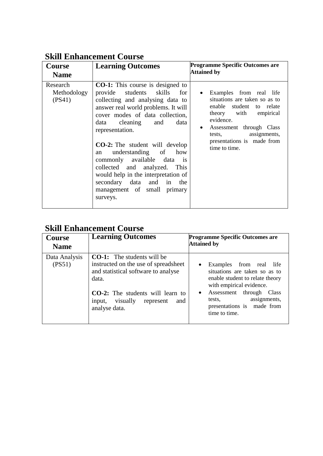#### **Course Name Learning Outcomes Programme Specific Outcomes are Attained by** Research Methodology (PS41) **CO-1:** This course is designed to provide students skills for collecting and analysing data to answer real world problems. It will cover modes of data collection, data cleaning and data representation. **CO-2:** The student will develop an understanding of how commonly available data is collected and analyzed. This would help in the interpretation of secondary data and in the management of small primary surveys. Examples from real life situations are taken so as to enable student to relate theory with empirical evidence. Assessment through Class tests, assignments, presentations is made from time to time.

#### **Skill Enhancement Course**

#### **Skill Enhancement Course**

| <b>Course</b><br><b>Name</b> | <b>Learning Outcomes</b>                                                                                                                                                                                           | <b>Programme Specific Outcomes are</b><br><b>Attained by</b>                                                                                                                                                                                       |
|------------------------------|--------------------------------------------------------------------------------------------------------------------------------------------------------------------------------------------------------------------|----------------------------------------------------------------------------------------------------------------------------------------------------------------------------------------------------------------------------------------------------|
| Data Analysis<br>(PS51)      | <b>CO-1:</b> The students will be<br>instructed on the use of spreadsheet<br>and statistical software to analyse<br>data.<br>CO-2: The students will learn to<br>input, visually represent<br>and<br>analyse data. | Examples from real<br>life<br>$\bullet$<br>situations are taken so as to<br>enable student to relate theory<br>with empirical evidence.<br>through<br>Assessment<br>Class<br>assignments,<br>tests,<br>presentations is made from<br>time to time. |